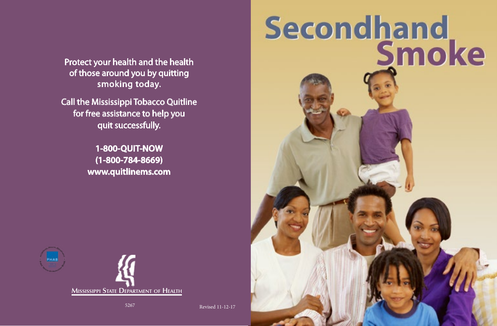Protect your health and the health of those around you by quitting smoking today.

Call the Mississippi Tobacco Quitline for free assistance to help you quit successfully.

> **1-800-QUIT-NOW (1-800-784-8669) www.quitlinems.com**





5267 Revised 11-12-17